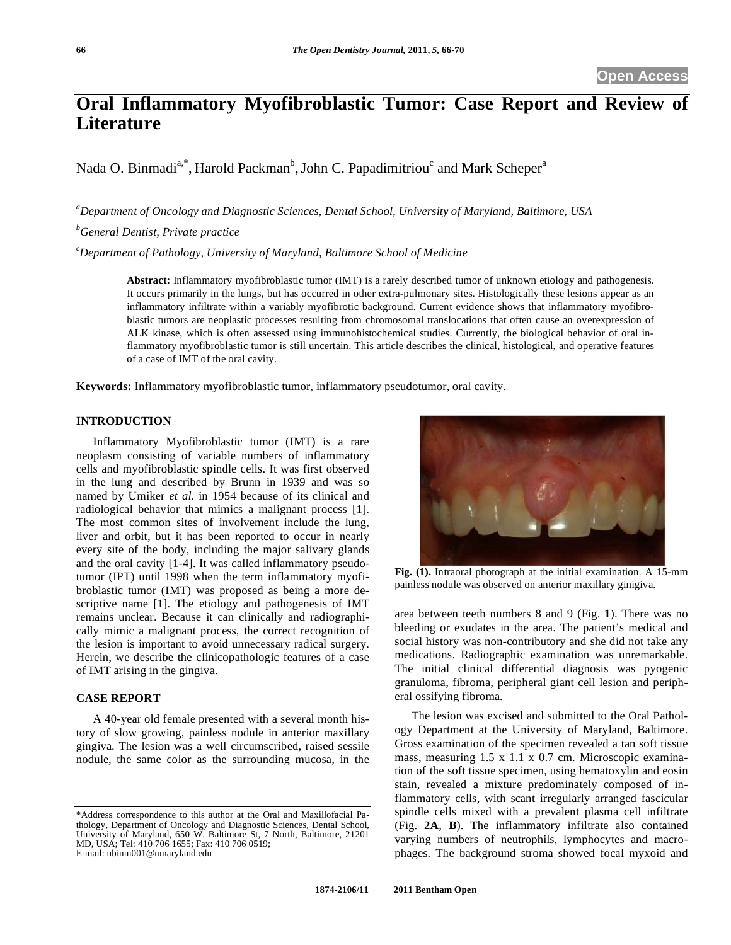# **Oral Inflammatory Myofibroblastic Tumor: Case Report and Review of Literature**

Nada O. Binmadi<sup>a,\*</sup>, Harold Packman<sup>b</sup>, John C. Papadimitriou<sup>c</sup> and Mark Scheper<sup>a</sup>

*a Department of Oncology and Diagnostic Sciences, Dental School, University of Maryland, Baltimore, USA* 

*b General Dentist, Private practice* 

*c Department of Pathology, University of Maryland, Baltimore School of Medicine* 

**Abstract:** Inflammatory myofibroblastic tumor (IMT) is a rarely described tumor of unknown etiology and pathogenesis. It occurs primarily in the lungs, but has occurred in other extra-pulmonary sites. Histologically these lesions appear as an inflammatory infiltrate within a variably myofibrotic background. Current evidence shows that inflammatory myofibroblastic tumors are neoplastic processes resulting from chromosomal translocations that often cause an overexpression of ALK kinase, which is often assessed using immunohistochemical studies. Currently, the biological behavior of oral inflammatory myofibroblastic tumor is still uncertain. This article describes the clinical, histological, and operative features of a case of IMT of the oral cavity.

**Keywords:** Inflammatory myofibroblastic tumor, inflammatory pseudotumor, oral cavity.

## **INTRODUCTION**

Inflammatory Myofibroblastic tumor (IMT) is a rare neoplasm consisting of variable numbers of inflammatory cells and myofibroblastic spindle cells. It was first observed in the lung and described by Brunn in 1939 and was so named by Umiker *et al.* in 1954 because of its clinical and radiological behavior that mimics a malignant process [1]. The most common sites of involvement include the lung, liver and orbit, but it has been reported to occur in nearly every site of the body, including the major salivary glands and the oral cavity [1-4]. It was called inflammatory pseudotumor (IPT) until 1998 when the term inflammatory myofibroblastic tumor (IMT) was proposed as being a more descriptive name [1]. The etiology and pathogenesis of IMT remains unclear. Because it can clinically and radiographically mimic a malignant process, the correct recognition of the lesion is important to avoid unnecessary radical surgery. Herein, we describe the clinicopathologic features of a case of IMT arising in the gingiva.

## **CASE REPORT**

A 40-year old female presented with a several month history of slow growing, painless nodule in anterior maxillary gingiva. The lesion was a well circumscribed, raised sessile nodule, the same color as the surrounding mucosa, in the



**Fig. (1).** Intraoral photograph at the initial examination. A 15-mm painless nodule was observed on anterior maxillary ginigiva.

area between teeth numbers 8 and 9 (Fig. **1**). There was no bleeding or exudates in the area. The patient's medical and social history was non-contributory and she did not take any medications. Radiographic examination was unremarkable. The initial clinical differential diagnosis was pyogenic granuloma, fibroma, peripheral giant cell lesion and peripheral ossifying fibroma.

The lesion was excised and submitted to the Oral Pathology Department at the University of Maryland, Baltimore. Gross examination of the specimen revealed a tan soft tissue mass, measuring 1.5 x 1.1 x 0.7 cm. Microscopic examination of the soft tissue specimen, using hematoxylin and eosin stain, revealed a mixture predominately composed of inflammatory cells, with scant irregularly arranged fascicular spindle cells mixed with a prevalent plasma cell infiltrate (Fig. **2A**, **B**). The inflammatory infiltrate also contained varying numbers of neutrophils, lymphocytes and macrophages. The background stroma showed focal myxoid and

<sup>\*</sup>Address correspondence to this author at the Oral and Maxillofacial Pathology, Department of Oncology and Diagnostic Sciences, Dental School, University of Maryland, 650 W. Baltimore St, 7 North, Baltimore, 21201 MD, USA; Tel: 410 706 1655; Fax: 410 706 0519; E-mail: nbinm001@umaryland.edu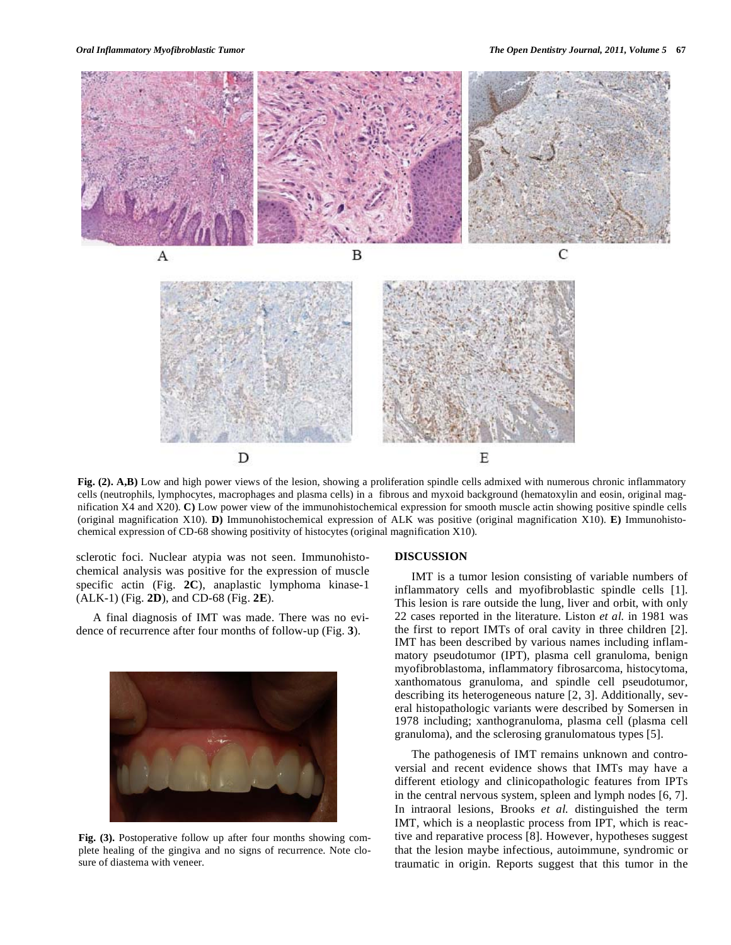

Fig. (2). A,B) Low and high power views of the lesion, showing a proliferation spindle cells admixed with numerous chronic inflammatory cells (neutrophils, lymphocytes, macrophages and plasma cells) in a fibrous and myxoid background (hematoxylin and eosin, original magnification X4 and X20). **C)** Low power view of the immunohistochemical expression for smooth muscle actin showing positive spindle cells (original magnification X10). **D)** Immunohistochemical expression of ALK was positive (original magnification X10). **E)** Immunohistochemical expression of CD-68 showing positivity of histocytes (original magnification X10).

sclerotic foci. Nuclear atypia was not seen. Immunohistochemical analysis was positive for the expression of muscle specific actin (Fig. **2C**), anaplastic lymphoma kinase-1 (ALK-1) (Fig. **2D**), and CD-68 (Fig. **2E**).

A final diagnosis of IMT was made. There was no evidence of recurrence after four months of follow-up (Fig. **3**).



**Fig. (3).** Postoperative follow up after four months showing complete healing of the gingiva and no signs of recurrence. Note closure of diastema with veneer.

### **DISCUSSION**

IMT is a tumor lesion consisting of variable numbers of inflammatory cells and myofibroblastic spindle cells [1]. This lesion is rare outside the lung, liver and orbit, with only 22 cases reported in the literature. Liston *et al.* in 1981 was the first to report IMTs of oral cavity in three children [2]. IMT has been described by various names including inflammatory pseudotumor (IPT), plasma cell granuloma, benign myofibroblastoma, inflammatory fibrosarcoma, histocytoma, xanthomatous granuloma, and spindle cell pseudotumor, describing its heterogeneous nature [2, 3]. Additionally, several histopathologic variants were described by Somersen in 1978 including; xanthogranuloma, plasma cell (plasma cell granuloma), and the sclerosing granulomatous types [5].

The pathogenesis of IMT remains unknown and controversial and recent evidence shows that IMTs may have a different etiology and clinicopathologic features from IPTs in the central nervous system, spleen and lymph nodes [6, 7]. In intraoral lesions, Brooks *et al.* distinguished the term IMT, which is a neoplastic process from IPT, which is reactive and reparative process [8]. However, hypotheses suggest that the lesion maybe infectious, autoimmune, syndromic or traumatic in origin. Reports suggest that this tumor in the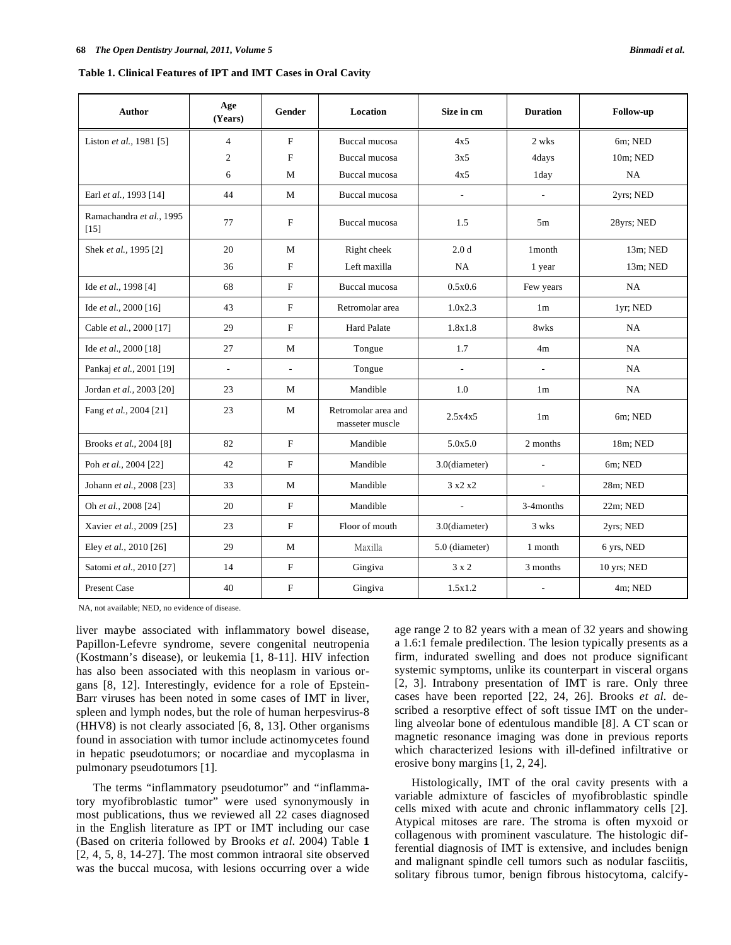| <b>Author</b>                      | Age<br>(Years)           | Gender                   | <b>Location</b>                        | Size in cm               | <b>Duration</b>          | Follow-up   |
|------------------------------------|--------------------------|--------------------------|----------------------------------------|--------------------------|--------------------------|-------------|
| Liston et al., 1981 [5]            | $\overline{4}$           | F                        | Buccal mucosa                          | 4x5                      | 2 wks                    | 6m; NED     |
|                                    | $\mathfrak{2}$           | F                        | <b>Buccal mucosa</b>                   | 3x5                      | 4days                    | 10m; NED    |
|                                    | 6                        | М                        | Buccal mucosa                          | 4x5                      | 1 day                    | NA          |
| Earl et al., 1993 [14]             | 44                       | M                        | Buccal mucosa                          | $\overline{\phantom{a}}$ | $\overline{\phantom{a}}$ | 2yrs; NED   |
| Ramachandra et al., 1995<br>$[15]$ | 77                       | F                        | <b>Buccal mucosa</b>                   | 1.5                      | 5m                       | 28yrs; NED  |
| Shek et al., 1995 [2]              | 20                       | M                        | Right cheek                            | 2.0 <sub>d</sub>         | 1 month                  | 13m; NED    |
|                                    | 36                       | F                        | Left maxilla                           | NA.                      | 1 year                   | 13m; NED    |
| Ide et al., 1998 [4]               | 68                       | F                        | Buccal mucosa                          | 0.5x0.6                  | Few years                | NA.         |
| Ide et al., 2000 [16]              | 43                       | F                        | Retromolar area                        | 1.0x2.3                  | 1 <sub>m</sub>           | 1yr; NED    |
| Cable et al., 2000 [17]            | 29                       | F                        | <b>Hard Palate</b>                     | 1.8x1.8                  | 8wks                     | NA          |
| Ide et al., 2000 [18]              | 27                       | М                        | Tongue                                 | 1.7                      | 4m                       | <b>NA</b>   |
| Pankaj et al., 2001 [19]           | $\overline{\phantom{a}}$ | $\overline{\phantom{a}}$ | Tongue                                 | $\overline{\phantom{a}}$ | $\overline{\phantom{a}}$ | NA          |
| Jordan et al., 2003 [20]           | 23                       | М                        | Mandible                               | 1.0                      | 1 <sub>m</sub>           | NA          |
| Fang et al., 2004 [21]             | 23                       | М                        | Retromolar area and<br>masseter muscle | 2.5x4x5                  | 1 <sub>m</sub>           | 6m; NED     |
| Brooks et al., 2004 [8]            | 82                       | F                        | Mandible                               | 5.0x5.0                  | 2 months                 | 18m; NED    |
| Poh et al., 2004 [22]              | 42                       | $\mathbf F$              | Mandible                               | 3.0(diameter)            | $\overline{\phantom{a}}$ | 6m; NED     |
| Johann et al., 2008 [23]           | 33                       | М                        | Mandible                               | 3x2x2                    | $\overline{\phantom{a}}$ | 28m; NED    |
| Oh et al., 2008 [24]               | 20                       | F                        | Mandible                               | $\overline{\phantom{a}}$ | 3-4months                | $22m$ ; NED |
| Xavier et al., 2009 [25]           | 23                       | F                        | Floor of mouth                         | 3.0(diameter)            | 3 wks                    | 2yrs; NED   |
| Eley et al., 2010 [26]             | 29                       | М                        | Maxilla                                | 5.0 (diameter)           | 1 month                  | 6 yrs, NED  |
| Satomi et al., 2010 [27]           | 14                       | F                        | Gingiva                                | $3 \times 2$             | 3 months                 | 10 yrs; NED |
| <b>Present Case</b>                | 40                       | F                        | Gingiva                                | 1.5x1.2                  | $\blacksquare$           | $4m$ ; NED  |

NA, not available; NED, no evidence of disease.

liver maybe associated with inflammatory bowel disease, Papillon-Lefevre syndrome, severe congenital neutropenia (Kostmann's disease), or leukemia [1, 8-11]. HIV infection has also been associated with this neoplasm in various organs [8, 12]. Interestingly, evidence for a role of Epstein-Barr viruses has been noted in some cases of IMT in liver, spleen and lymph nodes, but the role of human herpesvirus-8 (HHV8) is not clearly associated [6, 8, 13]. Other organisms found in association with tumor include actinomycetes found in hepatic pseudotumors; or nocardiae and mycoplasma in pulmonary pseudotumors [1].

The terms "inflammatory pseudotumor" and "inflammatory myofibroblastic tumor" were used synonymously in most publications, thus we reviewed all 22 cases diagnosed in the English literature as IPT or IMT including our case (Based on criteria followed by Brooks *et al*. 2004) Table **1** [2, 4, 5, 8, 14-27]. The most common intraoral site observed was the buccal mucosa, with lesions occurring over a wide age range 2 to 82 years with a mean of 32 years and showing a 1.6:1 female predilection. The lesion typically presents as a firm, indurated swelling and does not produce significant systemic symptoms, unlike its counterpart in visceral organs [2, 3]. Intrabony presentation of IMT is rare. Only three cases have been reported [22, 24, 26]. Brooks *et al.* described a resorptive effect of soft tissue IMT on the underling alveolar bone of edentulous mandible [8]. A CT scan or magnetic resonance imaging was done in previous reports which characterized lesions with ill-defined infiltrative or erosive bony margins [1, 2, 24].

Histologically, IMT of the oral cavity presents with a variable admixture of fascicles of myofibroblastic spindle cells mixed with acute and chronic inflammatory cells [2]. Atypical mitoses are rare. The stroma is often myxoid or collagenous with prominent vasculature. The histologic differential diagnosis of IMT is extensive, and includes benign and malignant spindle cell tumors such as nodular fasciitis, solitary fibrous tumor, benign fibrous histocytoma, calcify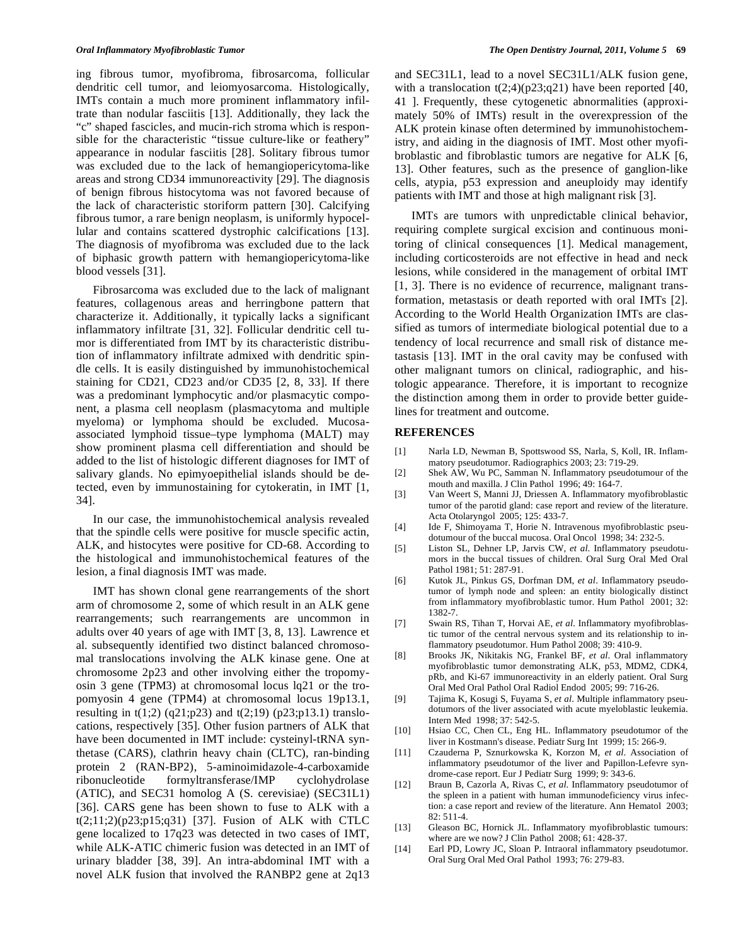ing fibrous tumor, myofibroma, fibrosarcoma, follicular dendritic cell tumor, and leiomyosarcoma. Histologically, IMTs contain a much more prominent inflammatory infiltrate than nodular fasciitis [13]. Additionally, they lack the "c" shaped fascicles, and mucin-rich stroma which is responsible for the characteristic "tissue culture-like or feathery" appearance in nodular fasciitis [28]. Solitary fibrous tumor was excluded due to the lack of hemangiopericytoma-like areas and strong CD34 immunoreactivity [29]. The diagnosis of benign fibrous histocytoma was not favored because of the lack of characteristic storiform pattern [30]. Calcifying fibrous tumor, a rare benign neoplasm, is uniformly hypocellular and contains scattered dystrophic calcifications [13]. The diagnosis of myofibroma was excluded due to the lack of biphasic growth pattern with hemangiopericytoma-like blood vessels [31].

Fibrosarcoma was excluded due to the lack of malignant features, collagenous areas and herringbone pattern that characterize it. Additionally, it typically lacks a significant inflammatory infiltrate [31, 32]. Follicular dendritic cell tumor is differentiated from IMT by its characteristic distribution of inflammatory infiltrate admixed with dendritic spindle cells. It is easily distinguished by immunohistochemical staining for CD21, CD23 and/or CD35 [2, 8, 33]. If there was a predominant lymphocytic and/or plasmacytic component, a plasma cell neoplasm (plasmacytoma and multiple myeloma) or lymphoma should be excluded. Mucosaassociated lymphoid tissue–type lymphoma (MALT) may show prominent plasma cell differentiation and should be added to the list of histologic different diagnoses for IMT of salivary glands. No epimyoepithelial islands should be detected, even by immunostaining for cytokeratin, in IMT [1, 34].

In our case, the immunohistochemical analysis revealed that the spindle cells were positive for muscle specific actin, ALK, and histocytes were positive for CD-68. According to the histological and immunohistochemical features of the lesion, a final diagnosis IMT was made.

IMT has shown clonal gene rearrangements of the short arm of chromosome 2, some of which result in an ALK gene rearrangements; such rearrangements are uncommon in adults over 40 years of age with IMT [3, 8, 13]. Lawrence et al. subsequently identified two distinct balanced chromosomal translocations involving the ALK kinase gene. One at chromosome 2p23 and other involving either the tropomyosin 3 gene (TPM3) at chromosomal locus lq21 or the tropomyosin 4 gene (TPM4) at chromosomal locus 19p13.1, resulting in  $t(1;2)$  (q21;p23) and  $t(2;19)$  (p23;p13.1) translocations, respectively [35]. Other fusion partners of ALK that have been documented in IMT include: cysteinyl-tRNA synthetase (CARS), clathrin heavy chain (CLTC), ran-binding protein 2 (RAN-BP2), 5-aminoimidazole-4-carboxamide ribonucleotide formyltransferase/IMP cyclohydrolase (ATIC), and SEC31 homolog A (S. cerevisiae) (SEC31L1) [36]. CARS gene has been shown to fuse to ALK with a t(2;11;2)(p23;p15;q31) [37]. Fusion of ALK with CTLC gene localized to 17q23 was detected in two cases of IMT, while ALK-ATIC chimeric fusion was detected in an IMT of urinary bladder [38, 39]. An intra-abdominal IMT with a novel ALK fusion that involved the RANBP2 gene at 2q13

and SEC31L1, lead to a novel SEC31L1/ALK fusion gene, with a translocation  $t(2,4)(p23;q21)$  have been reported [40, 41 ]. Frequently, these cytogenetic abnormalities (approximately 50% of IMTs) result in the overexpression of the ALK protein kinase often determined by immunohistochemistry, and aiding in the diagnosis of IMT. Most other myofibroblastic and fibroblastic tumors are negative for ALK [6, 13]. Other features, such as the presence of ganglion-like cells, atypia, p53 expression and aneuploidy may identify patients with IMT and those at high malignant risk [3].

IMTs are tumors with unpredictable clinical behavior, requiring complete surgical excision and continuous monitoring of clinical consequences [1]. Medical management, including corticosteroids are not effective in head and neck lesions, while considered in the management of orbital IMT [1, 3]. There is no evidence of recurrence, malignant transformation, metastasis or death reported with oral IMTs [2]. According to the World Health Organization IMTs are classified as tumors of intermediate biological potential due to a tendency of local recurrence and small risk of distance metastasis [13]. IMT in the oral cavity may be confused with other malignant tumors on clinical, radiographic, and histologic appearance. Therefore, it is important to recognize the distinction among them in order to provide better guidelines for treatment and outcome.

## **REFERENCES**

- [1] Narla LD, Newman B, Spottswood SS, Narla, S, Koll, IR. Inflammatory pseudotumor. Radiographics 2003; 23: 719-29.
- [2] Shek AW, Wu PC, Samman N. Inflammatory pseudotumour of the mouth and maxilla. J Clin Pathol 1996; 49: 164-7.
- [3] Van Weert S, Manni JJ, Driessen A. Inflammatory myofibroblastic tumor of the parotid gland: case report and review of the literature. Acta Otolaryngol 2005; 125: 433-7.
- [4] Ide F, Shimoyama T, Horie N. Intravenous myofibroblastic pseudotumour of the buccal mucosa. Oral Oncol 1998; 34: 232-5.
- [5] Liston SL, Dehner LP, Jarvis CW, *et al*. Inflammatory pseudotumors in the buccal tissues of children. Oral Surg Oral Med Oral Pathol 1981; 51: 287-91.
- [6] Kutok JL, Pinkus GS, Dorfman DM, *et al*. Inflammatory pseudotumor of lymph node and spleen: an entity biologically distinct from inflammatory myofibroblastic tumor. Hum Pathol 2001; 32: 1382-7.
- [7] Swain RS, Tihan T, Horvai AE, *et al*. Inflammatory myofibroblastic tumor of the central nervous system and its relationship to inflammatory pseudotumor. Hum Pathol 2008; 39: 410-9.
- [8] Brooks JK, Nikitakis NG, Frankel BF, *et al*. Oral inflammatory myofibroblastic tumor demonstrating ALK, p53, MDM2, CDK4, pRb, and Ki-67 immunoreactivity in an elderly patient. Oral Surg Oral Med Oral Pathol Oral Radiol Endod 2005; 99: 716-26.
- [9] Tajima K, Kosugi S, Fuyama S, *et al*. Multiple inflammatory pseudotumors of the liver associated with acute myeloblastic leukemia. Intern Med 1998; 37: 542-5.
- [10] Hsiao CC, Chen CL, Eng HL. Inflammatory pseudotumor of the liver in Kostmann's disease. Pediatr Surg Int 1999; 15: 266-9.
- [11] Czauderna P, Sznurkowska K, Korzon M, *et al*. Association of inflammatory pseudotumor of the liver and Papillon-Lefevre syndrome-case report. Eur J Pediatr Surg 1999; 9: 343-6.
- [12] Braun B, Cazorla A, Rivas C, *et al*. Inflammatory pseudotumor of the spleen in a patient with human immunodeficiency virus infection: a case report and review of the literature. Ann Hematol 2003; 82: 511-4.
- [13] Gleason BC, Hornick JL. Inflammatory myofibroblastic tumours: where are we now? J Clin Pathol 2008; 61: 428-37.
- [14] Earl PD, Lowry JC, Sloan P. Intraoral inflammatory pseudotumor. Oral Surg Oral Med Oral Pathol 1993; 76: 279-83.